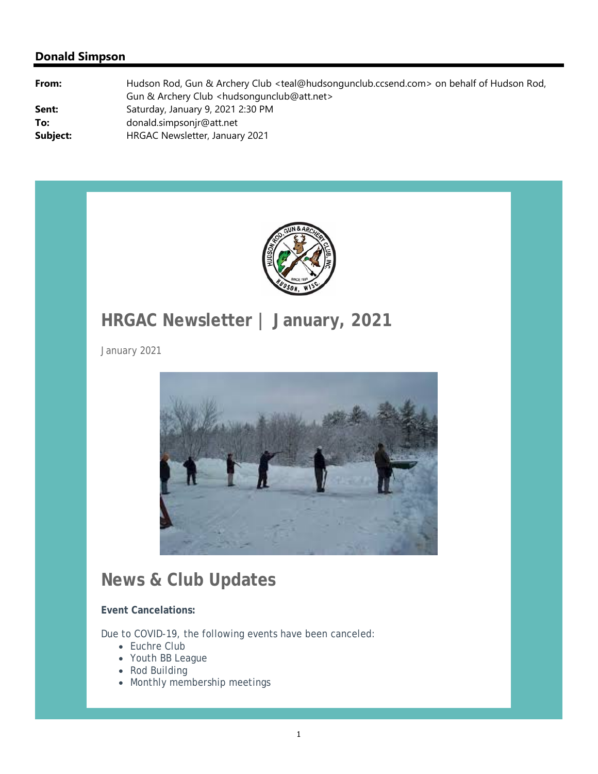

# **HRGAC Newsletter | January, 2021**

January 2021



## **News & Club Updates**

**Event Cancelations:**

Due to COVID-19, the following events have been canceled:

- Euchre Club
- Youth BB League
- Rod Building
- Monthly membership meetings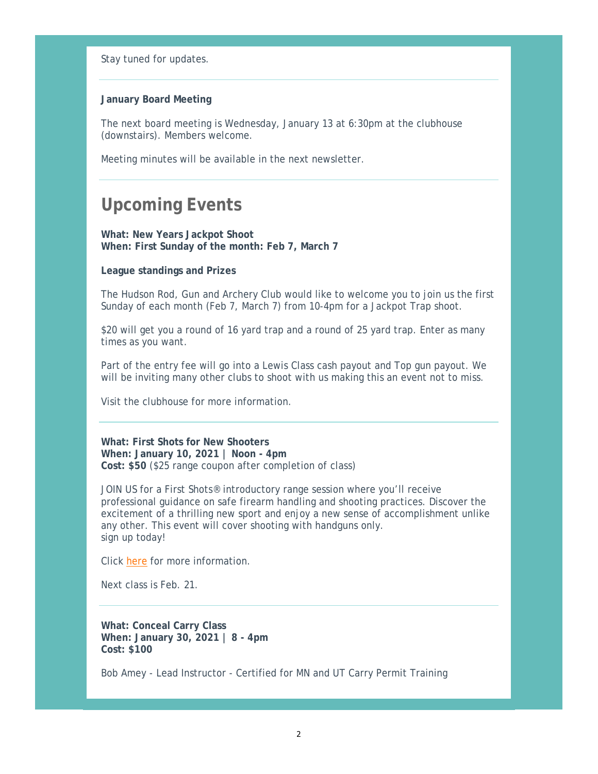Stay tuned for updates.

### **January Board Meeting**

The next board meeting is Wednesday, January 13 at 6:30pm at the clubhouse (downstairs). Members welcome.

Meeting minutes will be available in the next newsletter.

### **Upcoming Events**

**What: New Years Jackpot Shoot When: First Sunday of the month: Feb 7, March 7**

### **League standings and Prizes**

The Hudson Rod, Gun and Archery Club would like to welcome you to join us the first Sunday of each month (Feb 7, March 7) from 10-4pm for a Jackpot Trap shoot.

\$20 will get you a round of 16 yard trap and a round of 25 yard trap. Enter as many times as you want.

Part of the entry fee will go into a Lewis Class cash payout and Top gun payout. We will be inviting many other clubs to shoot with us making this an event not to miss.

Visit the clubhouse for more information.

#### **What: First Shots for New Shooters**

**When: January 10, 2021 | Noon - 4pm Cost: \$50** (\$25 range coupon after completion of class)

JOIN US for a First Shots<sup>®</sup> introductory range session where you'll receive professional guidance on safe firearm handling and shooting practices. Discover the excitement of a thrilling new sport and enjoy a new sense of accomplishment unlike any other. This event will cover shooting with handguns only. sign up today!

Click here for more information.

Next class is Feb. 21.

**What: Conceal Carry Class When: January 30, 2021 | 8 - 4pm Cost: \$100**

Bob Amey - Lead Instructor - Certified for MN and UT Carry Permit Training